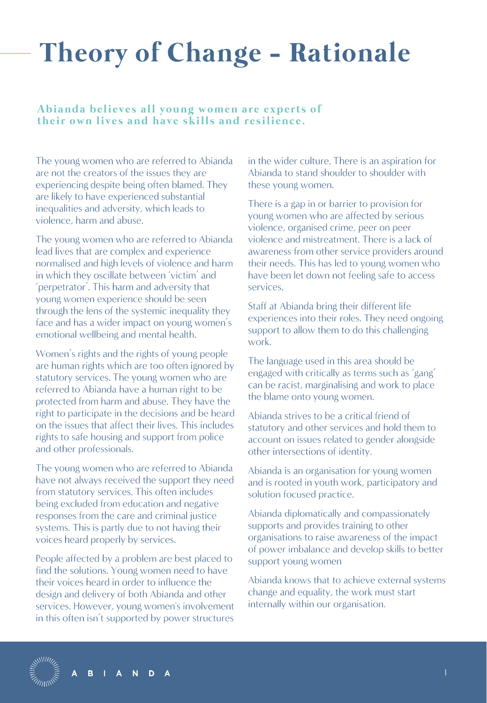### **Theory of Change - Rationale**

#### Abianda believes all young women are experts of their own lives and have skills and resilience.

The young women who are referred to Abianda are not the creators of the issues they are experiencing despite being often blamed. They are likely to have experienced substantial inequalities and adversity, which leads to violence, harm and abuse.

The young women who are referred to Abianda lead lives that are complex and experience normalised and high levels of violence and harm in which they oscillate between 'victim' and 'perpetrator'. This harm and adversity that young women experience should be seen through the lens of the systemic inequality they face and has a wider impact on young women's emotional wellbeing and mental health.

Women's rights and the rights of young people are human rights which are too often ignored by statutory services. The young women who are referred to Abianda have a human right to be protected from harm and abuse. They have the right to participate in the decisions and be heard on the issues that affect their lives. This includes rights to safe housing and support from police and other professionals.

The young women who are referred to Abianda have not always received the support they need from statutory services. This often includes being excluded from education and negative responses from the care and criminal justice systems. This is partly due to not having their voices heard properly by services.

People affected by a problem are best placed to find the solutions. Young women need to have their voices heard in order to influence the design and delivery of both Abianda and other services. However, young women's involvement in this often isn't supported by power structures

> N. D

in the wider culture. There is an aspiration for Abianda to stand shoulder to shoulder with these young women.

There is a gap in or barrier to provision for young women who are affected by serious violence, organised crime, peer on peer violence and mistreatment. There is a lack of awareness from other service providers around their needs. This has led to young women who have been let down not feeling safe to access services.

Staff at Abianda bring their different life experiences into their roles. They need ongoing support to allow them to do this challenging work.

The language used in this area should be engaged with critically as terms such as 'gang' can be racist, marginalising and work to place the blame onto young women.

Abianda strives to be a critical friend of statutory and other services and hold them to account on issues related to gender alongside other intersections of identity.

Abianda is an organisation for young women and is rooted in youth work, participatory and solution focused practice.

Abianda diplomatically and compassionately supports and provides training to other organisations to raise awareness of the impact of power imbalance and develop skills to better support young women

Abianda knows that to achieve external systems change and equality, the work must start internally within our organisation.

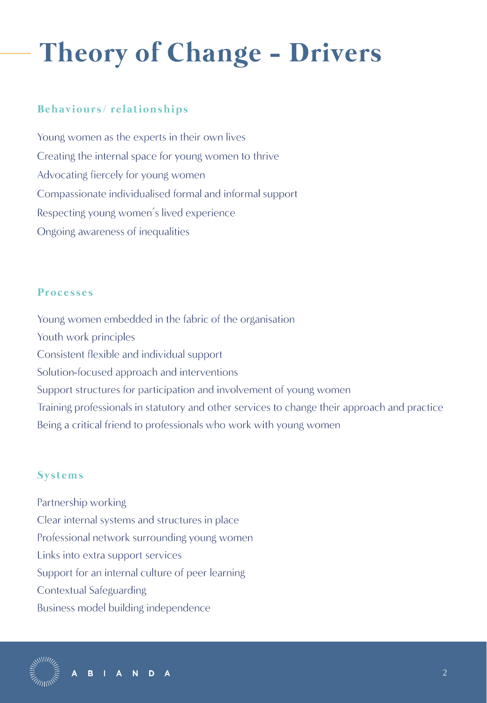# **Theory of Change - Drivers**

### **B e h a v i o u r s / r e l a t i o n s h i p s**

Young women as the experts in their own lives Creating the internal space for young women to thrive Advocating fiercely for young women Compassionate individualised formal and informal support Respecting young women's lived experience Ongoing awareness of inequalities

### **P r o c e s s e s**

Young women embedded in the fabric of the organisation Youth work principles Consistent flexible and individual support Solution-focused approach and interventions Support structures for participation and involvement of young women Training professionals in statutory and other services to change their approach and practice Being a critical friend to professionals who work with young women

### **S y s t e m s**

Partnership working Clear internal systems and structures in place Professional network surrounding young women Links into extra support services Support for an internal culture of peer learning Contextual Safeguarding Business model building independence

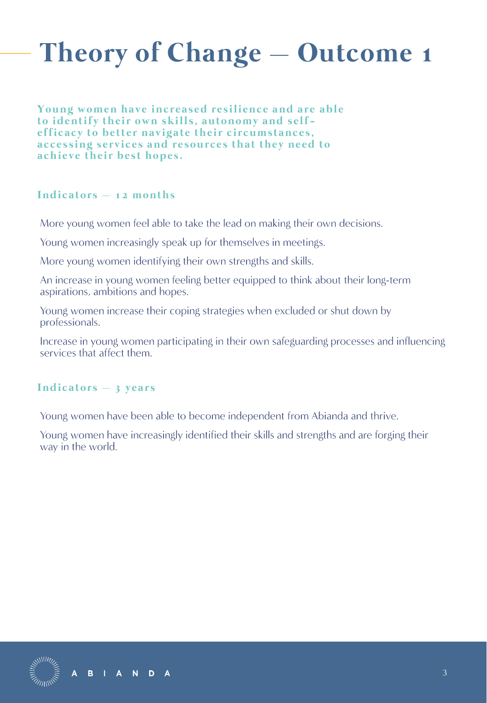**Young women have increased resilience and are able** to identify their own skills, autonomy and selfefficacy to better navigate their circumstances, accessing services and resources that they need to achieve their best hopes.

#### **I n d i c a t o r s – 1 2 m o n t h s**

More young women feel able to take the lead on making their own decisions.

Young women increasingly speak up for themselves in meetings.

More young women identifying their own strengths and skills.

An increase in young women feeling better equipped to think about their long-term aspirations, ambitions and hopes.

Young women increase their coping strategies when excluded or shut down by professionals.

Increase in young women participating in their own safeguarding processes and influencing services that affect them.

#### Indicators – 3 years

Young women have been able to become independent from Abianda and thrive.

Young women have increasingly identified their skills and strengths and are forging their way in the world.



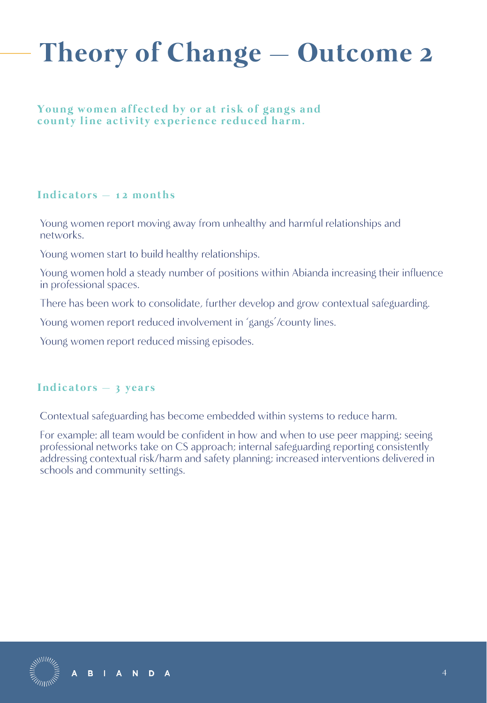#### **Young women affected by or at risk of gangs and** county line activity experience reduced harm.

#### Indicators – 12 months

Young women report moving away from unhealthy and harmful relationships and networks.

Young women start to build healthy relationships.

Young women hold a steady number of positions within Abianda increasing their influence in professional spaces.

There has been work to consolidate, further develop and grow contextual safeguarding.

Young women report reduced involvement in 'gangs'/county lines.

Young women report reduced missing episodes.

#### Indicators – 3 years

Contextual safeguarding has become embedded within systems to reduce harm.

For example: all team would be confident in how and when to use peer mapping; seeing professional networks take on CS approach; internal safeguarding reporting consistently addressing contextual risk/harm and safety planning; increased interventions delivered in schools and community settings.

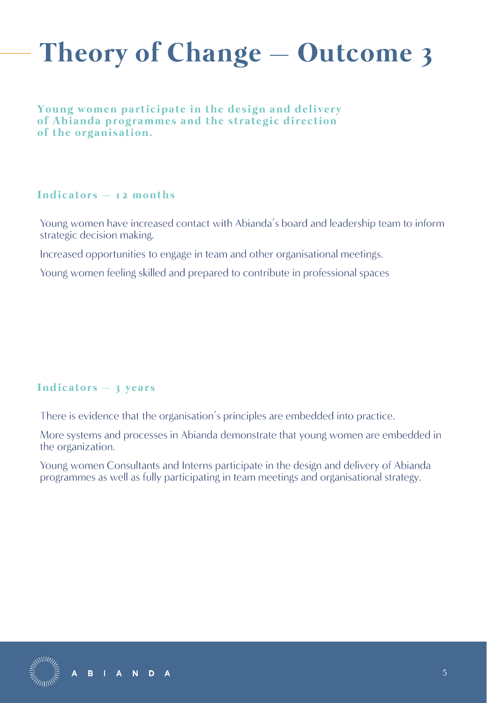**Young women participate in the design and delivery** of Abianda programmes and the strategic direction of the organisation.

#### Indicators – 12 months

Young women have increased contact with Abianda's board and leadership team to inform strategic decision making.

Increased opportunities to engage in team and other organisational meetings.

Young women feeling skilled and prepared to contribute in professional spaces

### Indicators – 3 years

There is evidence that the organisation's principles are embedded into practice.

More systems and processes in Abianda demonstrate that young women are embedded in the organization.

Young women Consultants and Interns participate in the design and delivery of Abianda programmes as well as fully participating in team meetings and organisational strategy.



N D

A

 $\overline{A}$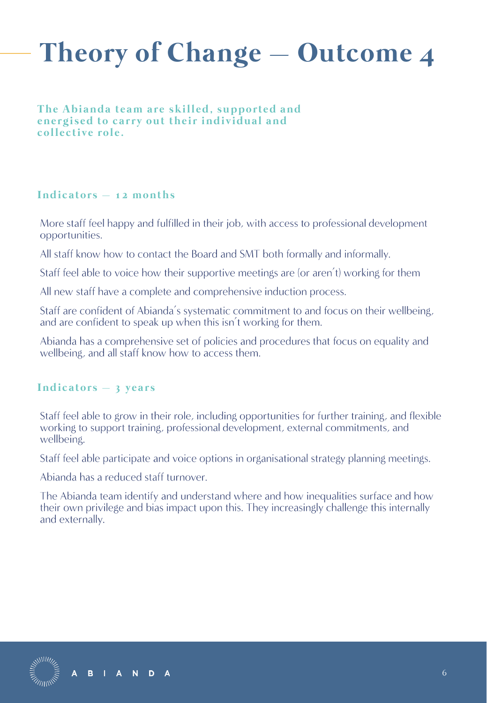**The Abianda team are skilled, supported and** energised to carry out their individual and collective role.

#### Indicators – 12 months

More staff feel happy and fulfilled in their job, with access to professional development opportunities.

All staff know how to contact the Board and SMT both formally and informally.

Staff feel able to voice how their supportive meetings are (or aren't) working for them

All new staff have a complete and comprehensive induction process.

Staff are confident of Abianda's systematic commitment to and focus on their wellbeing, and are confident to speak up when this isn't working for them.

Abianda has a comprehensive set of policies and procedures that focus on equality and wellbeing, and all staff know how to access them.

#### Indicators – 3 years

Staff feel able to grow in their role, including opportunities for further training, and flexible working to support training, professional development, external commitments, and wellbeing.

Staff feel able participate and voice options in organisational strategy planning meetings.

Abianda has a reduced staff turnover.

The Abianda team identify and understand where and how inequalities surface and how their own privilege and bias impact upon this. They increasingly challenge this internally and externally.